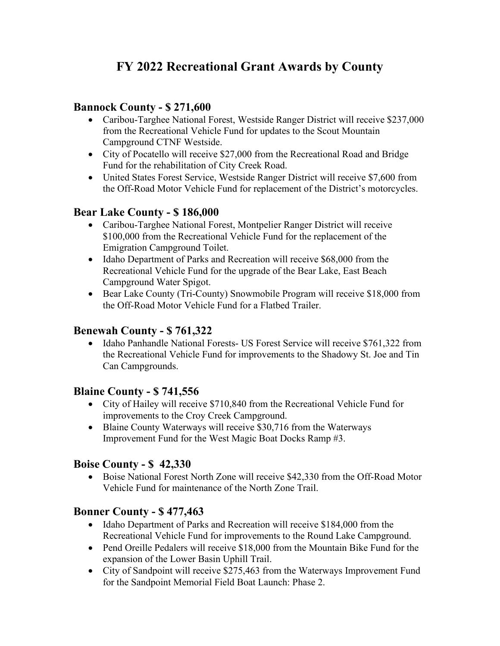# **FY 2022 Recreational Grant Awards by County**

### **Bannock County - \$ 271,600**

- Caribou-Targhee National Forest, Westside Ranger District will receive \$237,000 from the Recreational Vehicle Fund for updates to the Scout Mountain Campground CTNF Westside.
- City of Pocatello will receive \$27,000 from the Recreational Road and Bridge Fund for the rehabilitation of City Creek Road.
- United States Forest Service, Westside Ranger District will receive \$7,600 from the Off-Road Motor Vehicle Fund for replacement of the District's motorcycles.

# **Bear Lake County - \$ 186,000**

- Caribou-Targhee National Forest, Montpelier Ranger District will receive \$100,000 from the Recreational Vehicle Fund for the replacement of the Emigration Campground Toilet.
- Idaho Department of Parks and Recreation will receive \$68,000 from the Recreational Vehicle Fund for the upgrade of the Bear Lake, East Beach Campground Water Spigot.
- Bear Lake County (Tri-County) Snowmobile Program will receive \$18,000 from the Off-Road Motor Vehicle Fund for a Flatbed Trailer.

### **Benewah County - \$ 761,322**

• Idaho Panhandle National Forests- US Forest Service will receive \$761,322 from the Recreational Vehicle Fund for improvements to the Shadowy St. Joe and Tin Can Campgrounds.

### **Blaine County - \$ 741,556**

- City of Hailey will receive \$710,840 from the Recreational Vehicle Fund for improvements to the Croy Creek Campground.
- Blaine County Waterways will receive \$30,716 from the Waterways Improvement Fund for the West Magic Boat Docks Ramp #3.

### **Boise County - \$ 42,330**

• Boise National Forest North Zone will receive \$42,330 from the Off-Road Motor Vehicle Fund for maintenance of the North Zone Trail.

### **Bonner County - \$ 477,463**

- Idaho Department of Parks and Recreation will receive \$184,000 from the Recreational Vehicle Fund for improvements to the Round Lake Campground.
- Pend Oreille Pedalers will receive \$18,000 from the Mountain Bike Fund for the expansion of the Lower Basin Uphill Trail.
- City of Sandpoint will receive \$275,463 from the Waterways Improvement Fund for the Sandpoint Memorial Field Boat Launch: Phase 2.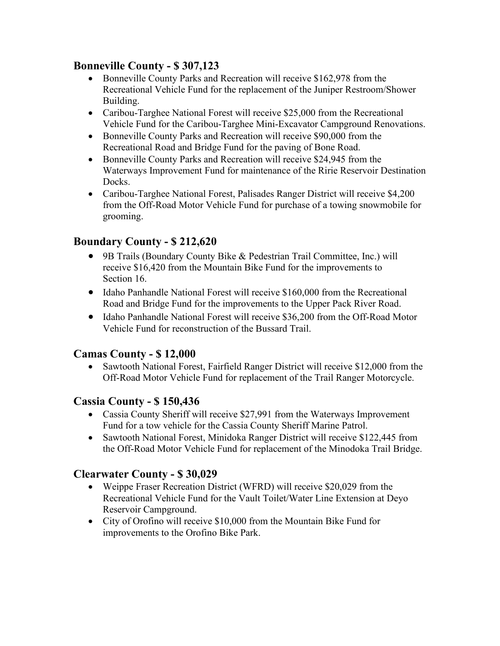# **Bonneville County - \$ 307,123**

- Bonneville County Parks and Recreation will receive \$162,978 from the Recreational Vehicle Fund for the replacement of the Juniper Restroom/Shower Building.
- Caribou-Targhee National Forest will receive \$25,000 from the Recreational Vehicle Fund for the Caribou-Targhee Mini-Excavator Campground Renovations.
- Bonneville County Parks and Recreation will receive \$90,000 from the Recreational Road and Bridge Fund for the paving of Bone Road.
- Bonneville County Parks and Recreation will receive \$24,945 from the Waterways Improvement Fund for maintenance of the Ririe Reservoir Destination Docks.
- Caribou-Targhee National Forest, Palisades Ranger District will receive \$4,200 from the Off-Road Motor Vehicle Fund for purchase of a towing snowmobile for grooming.

# **Boundary County - \$ 212,620**

- 9B Trails (Boundary County Bike & Pedestrian Trail Committee, Inc.) will receive \$16,420 from the Mountain Bike Fund for the improvements to Section 16.
- Idaho Panhandle National Forest will receive \$160,000 from the Recreational Road and Bridge Fund for the improvements to the Upper Pack River Road.
- Idaho Panhandle National Forest will receive \$36,200 from the Off-Road Motor Vehicle Fund for reconstruction of the Bussard Trail.

# **Camas County - \$ 12,000**

• Sawtooth National Forest, Fairfield Ranger District will receive \$12,000 from the Off-Road Motor Vehicle Fund for replacement of the Trail Ranger Motorcycle.

### **Cassia County - \$ 150,436**

- Cassia County Sheriff will receive \$27,991 from the Waterways Improvement Fund for a tow vehicle for the Cassia County Sheriff Marine Patrol.
- Sawtooth National Forest, Minidoka Ranger District will receive \$122,445 from the Off-Road Motor Vehicle Fund for replacement of the Minodoka Trail Bridge.

### **Clearwater County - \$ 30,029**

- Weippe Fraser Recreation District (WFRD) will receive \$20,029 from the Recreational Vehicle Fund for the Vault Toilet/Water Line Extension at Deyo Reservoir Campground.
- City of Orofino will receive \$10,000 from the Mountain Bike Fund for improvements to the Orofino Bike Park.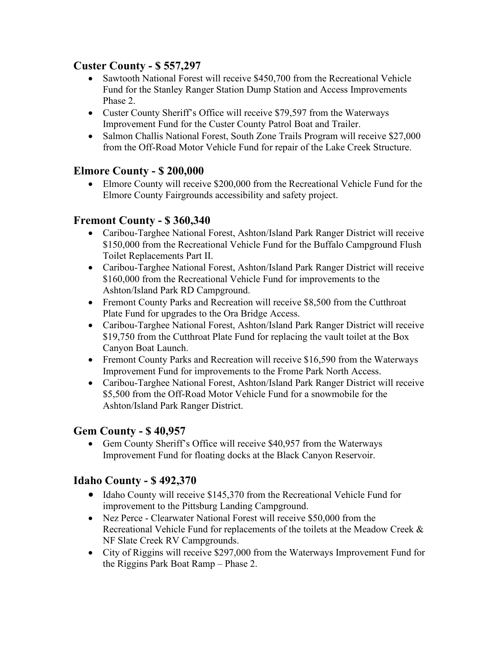### **Custer County - \$ 557,297**

- Sawtooth National Forest will receive \$450,700 from the Recreational Vehicle Fund for the Stanley Ranger Station Dump Station and Access Improvements Phase 2.
- Custer County Sheriff's Office will receive \$79,597 from the Waterways Improvement Fund for the Custer County Patrol Boat and Trailer.
- Salmon Challis National Forest, South Zone Trails Program will receive \$27,000 from the Off-Road Motor Vehicle Fund for repair of the Lake Creek Structure.

# **Elmore County - \$ 200,000**

• Elmore County will receive \$200,000 from the Recreational Vehicle Fund for the Elmore County Fairgrounds accessibility and safety project.

# **Fremont County - \$ 360,340**

- Caribou-Targhee National Forest, Ashton/Island Park Ranger District will receive \$150,000 from the Recreational Vehicle Fund for the Buffalo Campground Flush Toilet Replacements Part II.
- Caribou-Targhee National Forest, Ashton/Island Park Ranger District will receive \$160,000 from the Recreational Vehicle Fund for improvements to the Ashton/Island Park RD Campground.
- Fremont County Parks and Recreation will receive \$8,500 from the Cutthroat Plate Fund for upgrades to the Ora Bridge Access.
- Caribou-Targhee National Forest, Ashton/Island Park Ranger District will receive \$19,750 from the Cutthroat Plate Fund for replacing the vault toilet at the Box Canyon Boat Launch.
- Fremont County Parks and Recreation will receive \$16,590 from the Waterways Improvement Fund for improvements to the Frome Park North Access.
- Caribou-Targhee National Forest, Ashton/Island Park Ranger District will receive \$5,500 from the Off-Road Motor Vehicle Fund for a snowmobile for the Ashton/Island Park Ranger District.

### **Gem County - \$ 40,957**

• Gem County Sheriff's Office will receive \$40,957 from the Waterways Improvement Fund for floating docks at the Black Canyon Reservoir.

### **Idaho County - \$ 492,370**

- Idaho County will receive \$145,370 from the Recreational Vehicle Fund for improvement to the Pittsburg Landing Campground.
- Nez Perce Clearwater National Forest will receive \$50,000 from the Recreational Vehicle Fund for replacements of the toilets at the Meadow Creek & NF Slate Creek RV Campgrounds.
- City of Riggins will receive \$297,000 from the Waterways Improvement Fund for the Riggins Park Boat Ramp – Phase 2.